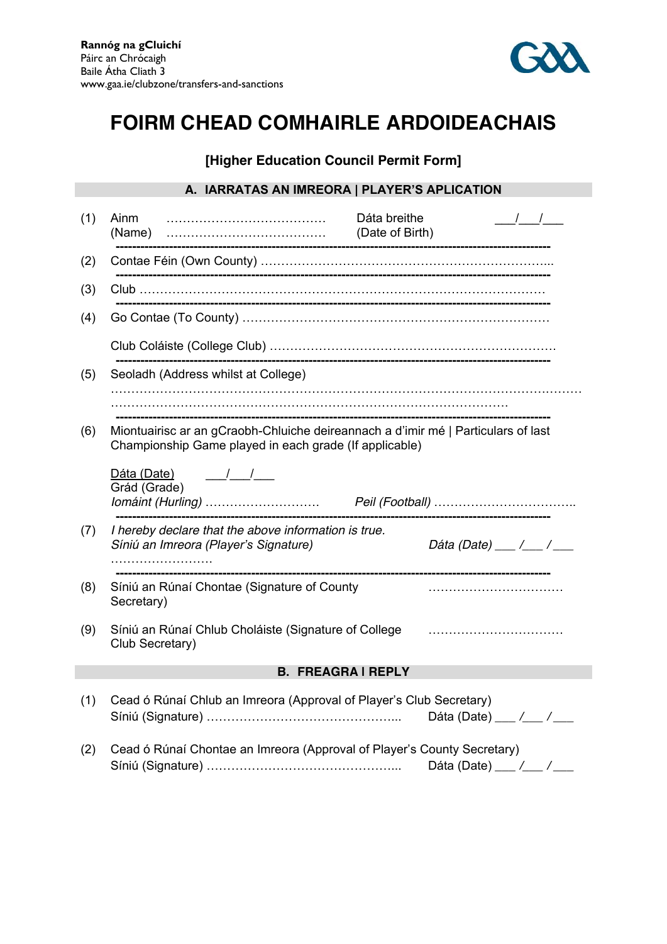

# **FOIRM CHEAD COMHAIRLE ARDOIDEACHAIS**

## **[Higher Education Council Permit Form]**

### **A. IARRATAS AN IMREORA | PLAYER'S APLICATION**

| (1)                     | Ainm<br>(Name)                                                                                                                                                                                                                                                                                                                                     | Dáta breithe<br>$\frac{1}{2}$<br>(Date of Birth) |
|-------------------------|----------------------------------------------------------------------------------------------------------------------------------------------------------------------------------------------------------------------------------------------------------------------------------------------------------------------------------------------------|--------------------------------------------------|
| (2)                     |                                                                                                                                                                                                                                                                                                                                                    |                                                  |
| (3)                     |                                                                                                                                                                                                                                                                                                                                                    |                                                  |
| (4)                     |                                                                                                                                                                                                                                                                                                                                                    |                                                  |
|                         |                                                                                                                                                                                                                                                                                                                                                    |                                                  |
| (5)                     | Seoladh (Address whilst at College)                                                                                                                                                                                                                                                                                                                |                                                  |
|                         |                                                                                                                                                                                                                                                                                                                                                    |                                                  |
| (6)                     | Miontuairisc ar an gCraobh-Chluiche deireannach a d'imir mé   Particulars of last<br>Championship Game played in each grade (If applicable)                                                                                                                                                                                                        |                                                  |
|                         | Dáta (Date)<br>$\frac{1}{2}$ $\frac{1}{2}$ $\frac{1}{2}$ $\frac{1}{2}$ $\frac{1}{2}$ $\frac{1}{2}$ $\frac{1}{2}$ $\frac{1}{2}$ $\frac{1}{2}$ $\frac{1}{2}$ $\frac{1}{2}$ $\frac{1}{2}$ $\frac{1}{2}$ $\frac{1}{2}$ $\frac{1}{2}$ $\frac{1}{2}$ $\frac{1}{2}$ $\frac{1}{2}$ $\frac{1}{2}$ $\frac{1}{2}$ $\frac{1}{2}$ $\frac{1}{2}$<br>Grád (Grade) |                                                  |
| (7)                     | I hereby declare that the above information is true.<br>Síniú an Imreora (Player's Signature)<br>.                                                                                                                                                                                                                                                 | Dáta (Date) ___ /___ /___                        |
| (8)                     | Síniú an Rúnaí Chontae (Signature of County<br>Secretary)                                                                                                                                                                                                                                                                                          |                                                  |
| (9)                     | Síniú an Rúnaí Chlub Choláiste (Signature of College<br>Club Secretary)                                                                                                                                                                                                                                                                            |                                                  |
| <b>B. FREAGRAIREPLY</b> |                                                                                                                                                                                                                                                                                                                                                    |                                                  |
| (1)                     | Cead ó Rúnaí Chlub an Imreora (Approval of Player's Club Secretary)                                                                                                                                                                                                                                                                                | Dáta (Date) $\frac{1}{2}$ / ___                  |
| (2)                     | Cead ó Rúnaí Chontae an Imreora (Approval of Player's County Secretary)                                                                                                                                                                                                                                                                            | Dáta (Date) ___ $\angle$ __ $\angle$             |